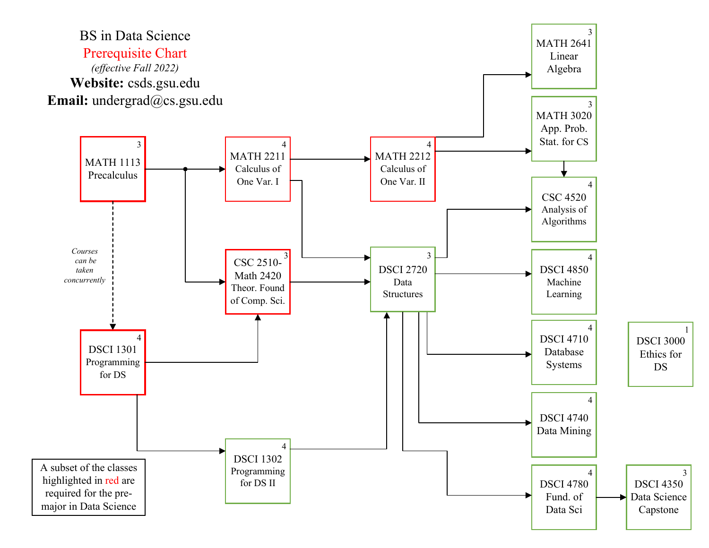